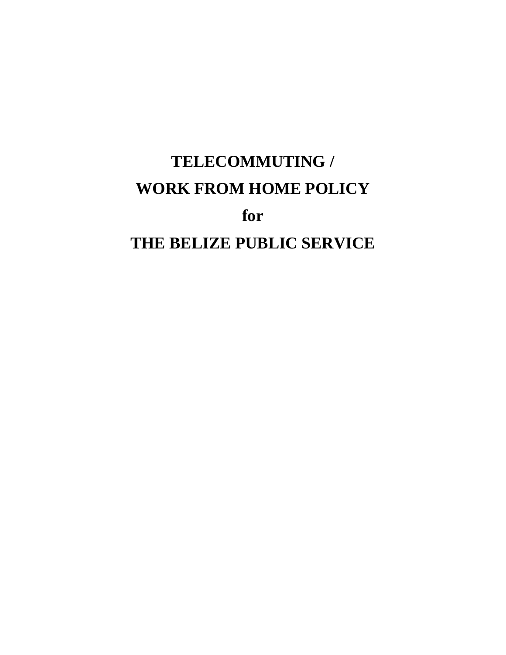# **TELECOMMUTING / WORK FROM HOME POLICY for THE BELIZE PUBLIC SERVICE**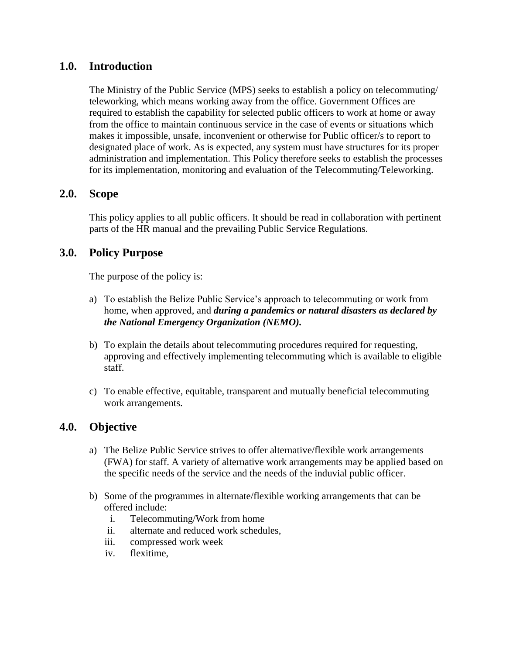### **1.0. Introduction**

The Ministry of the Public Service (MPS) seeks to establish a policy on telecommuting/ teleworking, which means working away from the office. Government Offices are required to establish the capability for selected public officers to work at home or away from the office to maintain continuous service in the case of events or situations which makes it impossible, unsafe, inconvenient or otherwise for Public officer/s to report to designated place of work. As is expected, any system must have structures for its proper administration and implementation. This Policy therefore seeks to establish the processes for its implementation, monitoring and evaluation of the Telecommuting/Teleworking.

#### **2.0. Scope**

This policy applies to all public officers. It should be read in collaboration with pertinent parts of the HR manual and the prevailing Public Service Regulations.

#### **3.0. Policy Purpose**

The purpose of the policy is:

- a) To establish the Belize Public Service's approach to telecommuting or work from home, when approved, and *during a pandemics or natural disasters as declared by the National Emergency Organization (NEMO).*
- b) To explain the details about telecommuting procedures required for requesting, approving and effectively implementing telecommuting which is available to eligible staff.
- c) To enable effective, equitable, transparent and mutually beneficial telecommuting work arrangements.

## **4.0. Objective**

- a) The Belize Public Service strives to offer alternative/flexible work arrangements (FWA) for staff. A variety of alternative work arrangements may be applied based on the specific needs of the service and the needs of the induvial public officer.
- b) Some of the programmes in alternate/flexible working arrangements that can be offered include:
	- i. Telecommuting/Work from home
	- ii. alternate and reduced work schedules,
	- iii. compressed work week
	- iv. flexitime,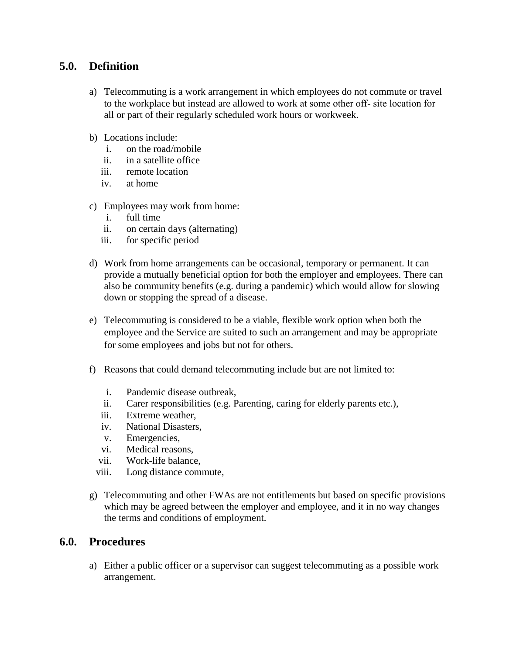### **5.0. Definition**

- a) Telecommuting is a work arrangement in which employees do not commute or travel to the workplace but instead are allowed to work at some other off‐ site location for all or part of their regularly scheduled work hours or workweek.
- b) Locations include:
	- i. on the road/mobile
	- ii. in a satellite office
	- iii. remote location
	- iv. at home
- c) Employees may work from home:
	- i. full time
	- ii. on certain days (alternating)
	- iii. for specific period
- d) Work from home arrangements can be occasional, temporary or permanent. It can provide a mutually beneficial option for both the employer and employees. There can also be community benefits (e.g. during a pandemic) which would allow for slowing down or stopping the spread of a disease.
- e) Telecommuting is considered to be a viable, flexible work option when both the employee and the Service are suited to such an arrangement and may be appropriate for some employees and jobs but not for others.
- f) Reasons that could demand telecommuting include but are not limited to:
	- i. Pandemic disease outbreak,
	- ii. Carer responsibilities (e.g. Parenting, caring for elderly parents etc.),
	- iii. Extreme weather,
	- iv. National Disasters,
	- v. Emergencies,
	- vi. Medical reasons,
	- vii. Work-life balance,
	- viii. Long distance commute,
- g) Telecommuting and other FWAs are not entitlements but based on specific provisions which may be agreed between the employer and employee, and it in no way changes the terms and conditions of employment.

#### **6.0. Procedures**

a) Either a public officer or a supervisor can suggest telecommuting as a possible work arrangement.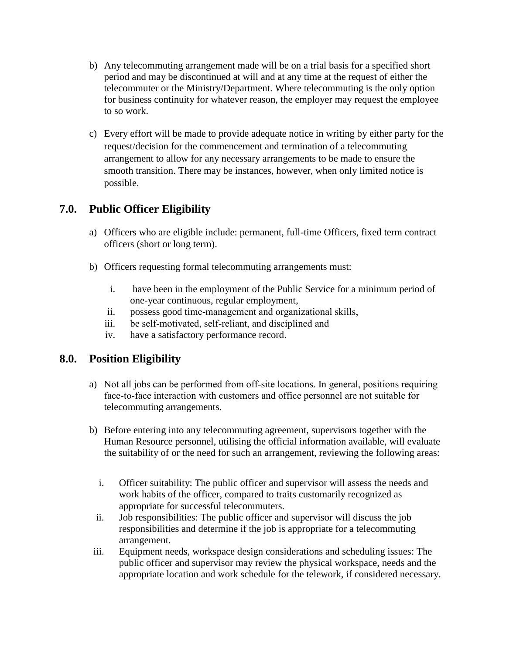- b) Any telecommuting arrangement made will be on a trial basis for a specified short period and may be discontinued at will and at any time at the request of either the telecommuter or the Ministry/Department. Where telecommuting is the only option for business continuity for whatever reason, the employer may request the employee to so work.
- c) Every effort will be made to provide adequate notice in writing by either party for the request/decision for the commencement and termination of a telecommuting arrangement to allow for any necessary arrangements to be made to ensure the smooth transition. There may be instances, however, when only limited notice is possible.

## **7.0. Public Officer Eligibility**

- a) Officers who are eligible include: permanent, full-time Officers, fixed term contract officers (short or long term).
- b) Officers requesting formal telecommuting arrangements must:
	- i. have been in the employment of the Public Service for a minimum period of one-year continuous, regular employment,
	- ii. possess good time‐management and organizational skills,
	- iii. be self‐motivated, self‐reliant, and disciplined and
	- iv. have a satisfactory performance record.

## **8.0. Position Eligibility**

- a) Not all jobs can be performed from off‐site locations. In general, positions requiring face-to-face interaction with customers and office personnel are not suitable for telecommuting arrangements.
- b) Before entering into any telecommuting agreement, supervisors together with the Human Resource personnel, utilising the official information available, will evaluate the suitability of or the need for such an arrangement, reviewing the following areas:
	- i. Officer suitability: The public officer and supervisor will assess the needs and work habits of the officer, compared to traits customarily recognized as appropriate for successful telecommuters.
	- ii. Job responsibilities: The public officer and supervisor will discuss the job responsibilities and determine if the job is appropriate for a telecommuting arrangement.
- iii. Equipment needs, workspace design considerations and scheduling issues: The public officer and supervisor may review the physical workspace, needs and the appropriate location and work schedule for the telework, if considered necessary.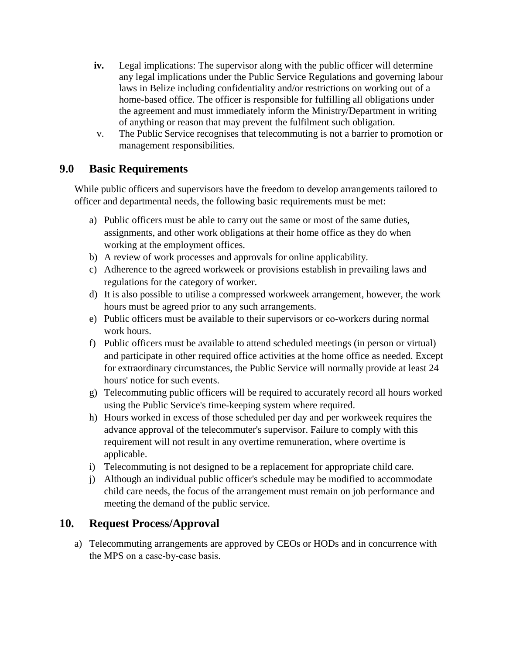- **iv.** Legal implications: The supervisor along with the public officer will determine any legal implications under the Public Service Regulations and governing labour laws in Belize including confidentiality and/or restrictions on working out of a home-based office. The officer is responsible for fulfilling all obligations under the agreement and must immediately inform the Ministry/Department in writing of anything or reason that may prevent the fulfilment such obligation.
- v. The Public Service recognises that telecommuting is not a barrier to promotion or management responsibilities.

# **9.0 Basic Requirements**

While public officers and supervisors have the freedom to develop arrangements tailored to officer and departmental needs, the following basic requirements must be met:

- a) Public officers must be able to carry out the same or most of the same duties, assignments, and other work obligations at their home office as they do when working at the employment offices.
- b) A review of work processes and approvals for online applicability.
- c) Adherence to the agreed workweek or provisions establish in prevailing laws and regulations for the category of worker.
- d) It is also possible to utilise a compressed workweek arrangement, however, the work hours must be agreed prior to any such arrangements.
- e) Public officers must be available to their supervisors or co‐workers during normal work hours.
- f) Public officers must be available to attend scheduled meetings (in person or virtual) and participate in other required office activities at the home office as needed. Except for extraordinary circumstances, the Public Service will normally provide at least 24 hours' notice for such events.
- g) Telecommuting public officers will be required to accurately record all hours worked using the Public Service's time-keeping system where required.
- h) Hours worked in excess of those scheduled per day and per workweek requires the advance approval of the telecommuter's supervisor. Failure to comply with this requirement will not result in any overtime remuneration, where overtime is applicable.
- i) Telecommuting is not designed to be a replacement for appropriate child care.
- j) Although an individual public officer's schedule may be modified to accommodate child care needs, the focus of the arrangement must remain on job performance and meeting the demand of the public service.

## **10. Request Process/Approval**

a) Telecommuting arrangements are approved by CEOs or HODs and in concurrence with the MPS on a case‐by‐case basis.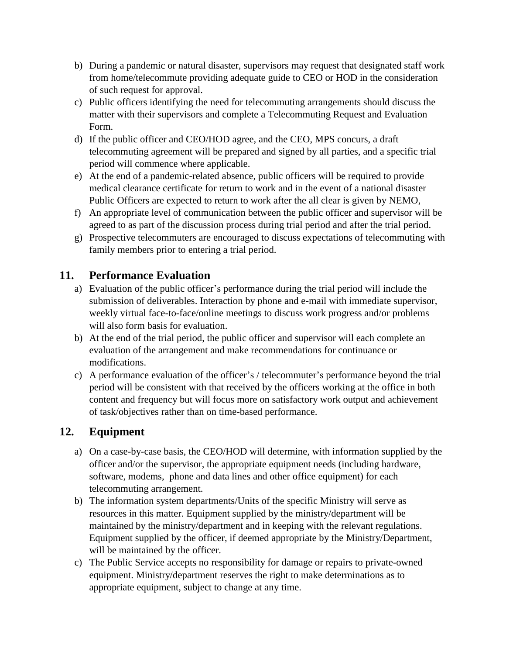- b) During a pandemic or natural disaster, supervisors may request that designated staff work from home/telecommute providing adequate guide to CEO or HOD in the consideration of such request for approval.
- c) Public officers identifying the need for telecommuting arrangements should discuss the matter with their supervisors and complete a Telecommuting Request and Evaluation Form.
- d) If the public officer and CEO/HOD agree, and the CEO, MPS concurs, a draft telecommuting agreement will be prepared and signed by all parties, and a specific trial period will commence where applicable.
- e) At the end of a pandemic-related absence, public officers will be required to provide medical clearance certificate for return to work and in the event of a national disaster Public Officers are expected to return to work after the all clear is given by NEMO,
- f) An appropriate level of communication between the public officer and supervisor will be agreed to as part of the discussion process during trial period and after the trial period.
- g) Prospective telecommuters are encouraged to discuss expectations of telecommuting with family members prior to entering a trial period.

# **11. Performance Evaluation**

- a) Evaluation of the public officer's performance during the trial period will include the submission of deliverables. Interaction by phone and e-mail with immediate supervisor, weekly virtual face-to-face/online meetings to discuss work progress and/or problems will also form basis for evaluation.
- b) At the end of the trial period, the public officer and supervisor will each complete an evaluation of the arrangement and make recommendations for continuance or modifications.
- c) A performance evaluation of the officer's / telecommuter's performance beyond the trial period will be consistent with that received by the officers working at the office in both content and frequency but will focus more on satisfactory work output and achievement of task/objectives rather than on time-based performance.

# **12. Equipment**

- a) On a case-by-case basis, the CEO/HOD will determine, with information supplied by the officer and/or the supervisor, the appropriate equipment needs (including hardware, software, modems, phone and data lines and other office equipment) for each telecommuting arrangement.
- b) The information system departments/Units of the specific Ministry will serve as resources in this matter. Equipment supplied by the ministry/department will be maintained by the ministry/department and in keeping with the relevant regulations. Equipment supplied by the officer, if deemed appropriate by the Ministry/Department, will be maintained by the officer.
- c) The Public Service accepts no responsibility for damage or repairs to private-owned equipment. Ministry/department reserves the right to make determinations as to appropriate equipment, subject to change at any time.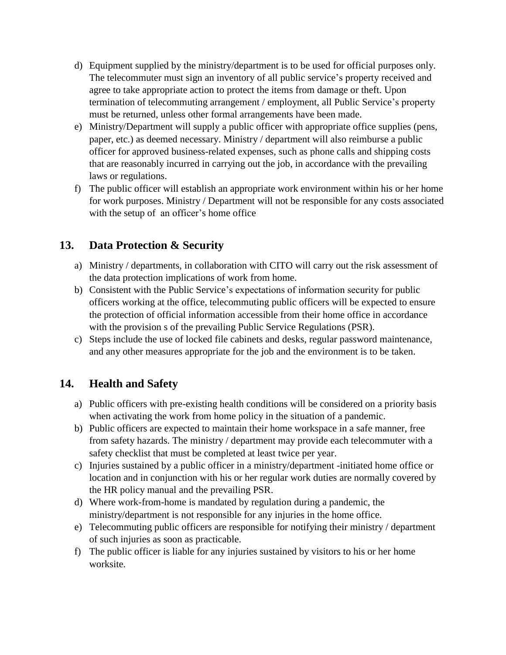- d) Equipment supplied by the ministry/department is to be used for official purposes only. The telecommuter must sign an inventory of all public service's property received and agree to take appropriate action to protect the items from damage or theft. Upon termination of telecommuting arrangement / employment, all Public Service's property must be returned, unless other formal arrangements have been made.
- e) Ministry/Department will supply a public officer with appropriate office supplies (pens, paper, etc.) as deemed necessary. Ministry / department will also reimburse a public officer for approved business-related expenses, such as phone calls and shipping costs that are reasonably incurred in carrying out the job, in accordance with the prevailing laws or regulations.
- f) The public officer will establish an appropriate work environment within his or her home for work purposes. Ministry / Department will not be responsible for any costs associated with the setup of an officer's home office

# **13. Data Protection & Security**

- a) Ministry / departments, in collaboration with CITO will carry out the risk assessment of the data protection implications of work from home.
- b) Consistent with the Public Service's expectations of information security for public officers working at the office, telecommuting public officers will be expected to ensure the protection of official information accessible from their home office in accordance with the provision s of the prevailing Public Service Regulations (PSR).
- c) Steps include the use of locked file cabinets and desks, regular password maintenance, and any other measures appropriate for the job and the environment is to be taken.

# **14. Health and Safety**

- a) Public officers with pre-existing health conditions will be considered on a priority basis when activating the work from home policy in the situation of a pandemic.
- b) Public officers are expected to maintain their home workspace in a safe manner, free from safety hazards. The ministry / department may provide each telecommuter with a safety checklist that must be completed at least twice per year.
- c) Injuries sustained by a public officer in a ministry/department -initiated home office or location and in conjunction with his or her regular work duties are normally covered by the HR policy manual and the prevailing PSR.
- d) Where work-from-home is mandated by regulation during a pandemic, the ministry/department is not responsible for any injuries in the home office.
- e) Telecommuting public officers are responsible for notifying their ministry / department of such injuries as soon as practicable.
- f) The public officer is liable for any injuries sustained by visitors to his or her home worksite.